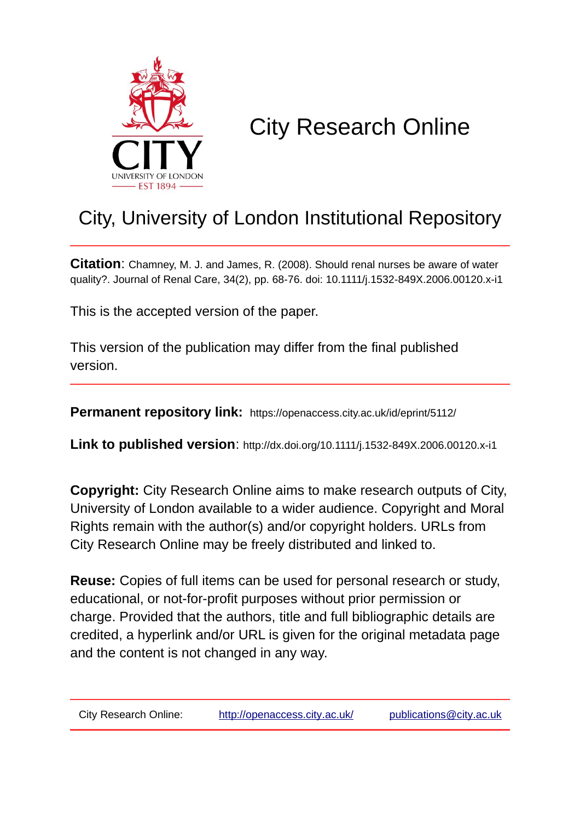

# City Research Online

## City, University of London Institutional Repository

**Citation**: Chamney, M. J. and James, R. (2008). Should renal nurses be aware of water quality?. Journal of Renal Care, 34(2), pp. 68-76. doi: 10.1111/j.1532-849X.2006.00120.x-i1

This is the accepted version of the paper.

This version of the publication may differ from the final published version.

**Permanent repository link:** https://openaccess.city.ac.uk/id/eprint/5112/

**Link to published version**: http://dx.doi.org/10.1111/j.1532-849X.2006.00120.x-i1

**Copyright:** City Research Online aims to make research outputs of City, University of London available to a wider audience. Copyright and Moral Rights remain with the author(s) and/or copyright holders. URLs from City Research Online may be freely distributed and linked to.

**Reuse:** Copies of full items can be used for personal research or study, educational, or not-for-profit purposes without prior permission or charge. Provided that the authors, title and full bibliographic details are credited, a hyperlink and/or URL is given for the original metadata page and the content is not changed in any way.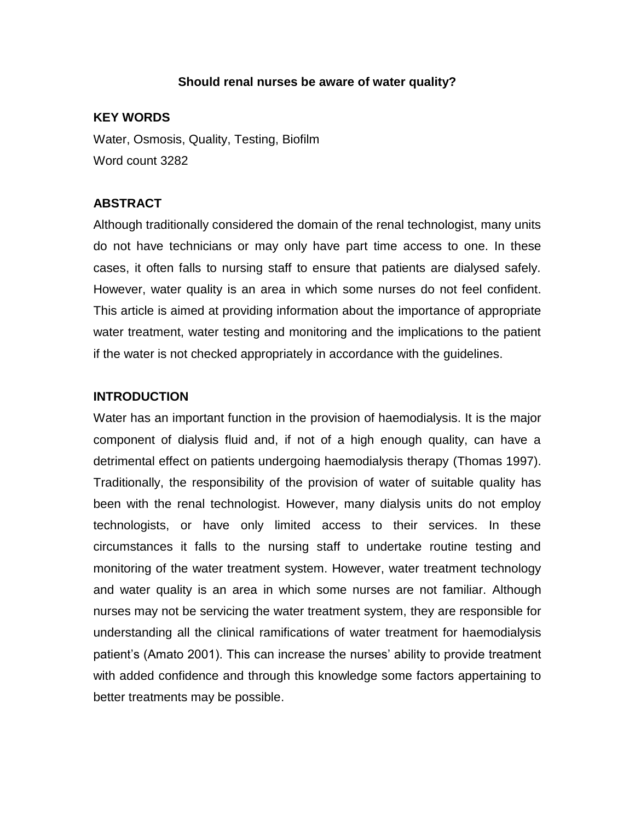#### **Should renal nurses be aware of water quality?**

#### **KEY WORDS**

Water, Osmosis, Quality, Testing, Biofilm Word count 3282

#### **ABSTRACT**

Although traditionally considered the domain of the renal technologist, many units do not have technicians or may only have part time access to one. In these cases, it often falls to nursing staff to ensure that patients are dialysed safely. However, water quality is an area in which some nurses do not feel confident. This article is aimed at providing information about the importance of appropriate water treatment, water testing and monitoring and the implications to the patient if the water is not checked appropriately in accordance with the guidelines.

#### **INTRODUCTION**

Water has an important function in the provision of haemodialysis. It is the major component of dialysis fluid and, if not of a high enough quality, can have a detrimental effect on patients undergoing haemodialysis therapy (Thomas 1997). Traditionally, the responsibility of the provision of water of suitable quality has been with the renal technologist. However, many dialysis units do not employ technologists, or have only limited access to their services. In these circumstances it falls to the nursing staff to undertake routine testing and monitoring of the water treatment system. However, water treatment technology and water quality is an area in which some nurses are not familiar. Although nurses may not be servicing the water treatment system, they are responsible for understanding all the clinical ramifications of water treatment for haemodialysis patient's (Amato 2001). This can increase the nurses' ability to provide treatment with added confidence and through this knowledge some factors appertaining to better treatments may be possible.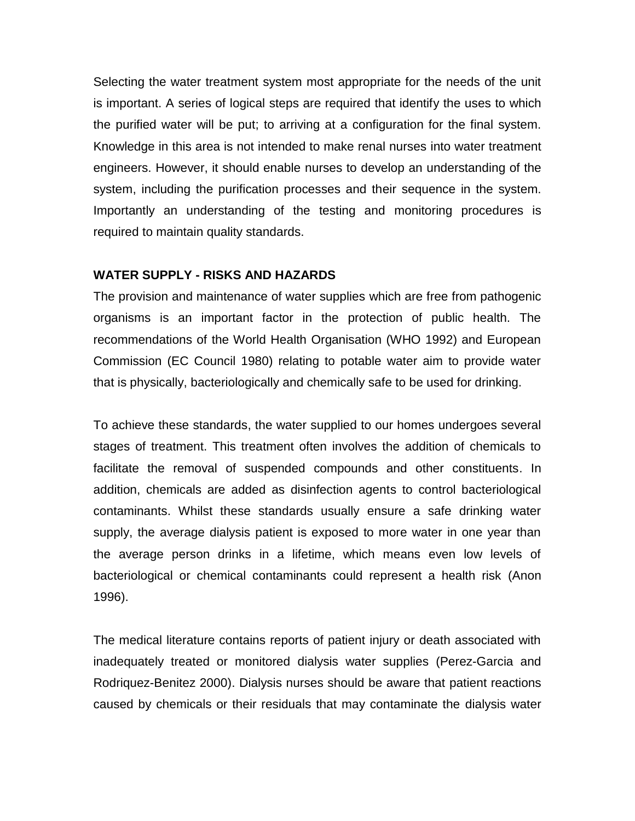Selecting the water treatment system most appropriate for the needs of the unit is important. A series of logical steps are required that identify the uses to which the purified water will be put; to arriving at a configuration for the final system. Knowledge in this area is not intended to make renal nurses into water treatment engineers. However, it should enable nurses to develop an understanding of the system, including the purification processes and their sequence in the system. Importantly an understanding of the testing and monitoring procedures is required to maintain quality standards.

#### **WATER SUPPLY - RISKS AND HAZARDS**

The provision and maintenance of water supplies which are free from pathogenic organisms is an important factor in the protection of public health. The recommendations of the World Health Organisation (WHO 1992) and European Commission (EC Council 1980) relating to potable water aim to provide water that is physically, bacteriologically and chemically safe to be used for drinking.

To achieve these standards, the water supplied to our homes undergoes several stages of treatment. This treatment often involves the addition of chemicals to facilitate the removal of suspended compounds and other constituents. In addition, chemicals are added as disinfection agents to control bacteriological contaminants. Whilst these standards usually ensure a safe drinking water supply, the average dialysis patient is exposed to more water in one year than the average person drinks in a lifetime, which means even low levels of bacteriological or chemical contaminants could represent a health risk (Anon 1996).

The medical literature contains reports of patient injury or death associated with inadequately treated or monitored dialysis water supplies (Perez-Garcia and Rodriquez-Benitez 2000). Dialysis nurses should be aware that patient reactions caused by chemicals or their residuals that may contaminate the dialysis water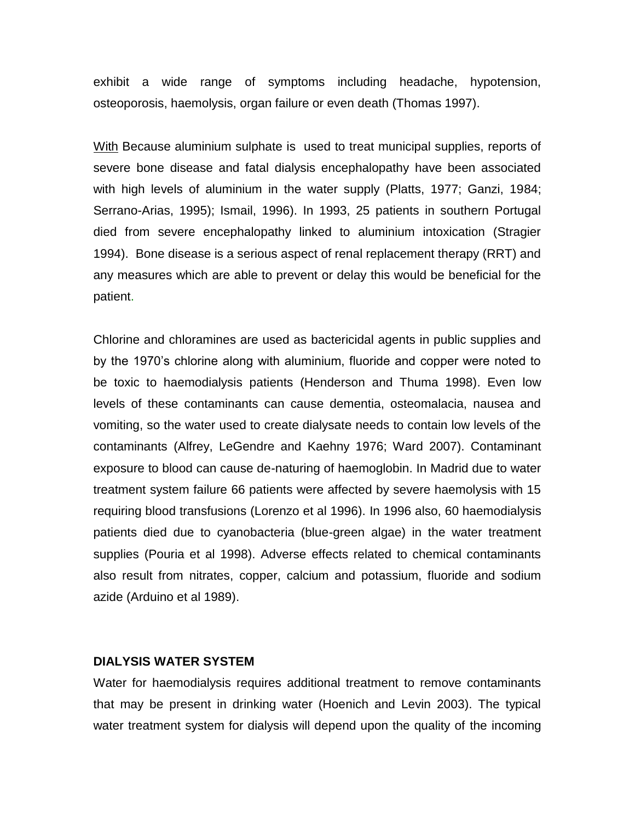exhibit a wide range of symptoms including headache, hypotension, osteoporosis, haemolysis, organ failure or even death (Thomas 1997).

With Because aluminium sulphate is used to treat municipal supplies, reports of severe bone disease and fatal dialysis encephalopathy have been associated with high levels of aluminium in the water supply (Platts, 1977; Ganzi, 1984; Serrano-Arias, 1995); Ismail, 1996). In 1993, 25 patients in southern Portugal died from severe encephalopathy linked to aluminium intoxication (Stragier 1994). Bone disease is a serious aspect of renal replacement therapy (RRT) and any measures which are able to prevent or delay this would be beneficial for the patient.

Chlorine and chloramines are used as bactericidal agents in public supplies and by the 1970's chlorine along with aluminium, fluoride and copper were noted to be toxic to haemodialysis patients (Henderson and Thuma 1998). Even low levels of these contaminants can cause dementia, osteomalacia, nausea and vomiting, so the water used to create dialysate needs to contain low levels of the contaminants (Alfrey, LeGendre and Kaehny 1976; Ward 2007). Contaminant exposure to blood can cause de-naturing of haemoglobin. In Madrid due to water treatment system failure 66 patients were affected by severe haemolysis with 15 requiring blood transfusions (Lorenzo et al 1996). In 1996 also, 60 haemodialysis patients died due to cyanobacteria (blue-green algae) in the water treatment supplies (Pouria et al 1998). Adverse effects related to chemical contaminants also result from nitrates, copper, calcium and potassium, fluoride and sodium azide (Arduino et al 1989).

#### **DIALYSIS WATER SYSTEM**

Water for haemodialysis requires additional treatment to remove contaminants that may be present in drinking water (Hoenich and Levin 2003). The typical water treatment system for dialysis will depend upon the quality of the incoming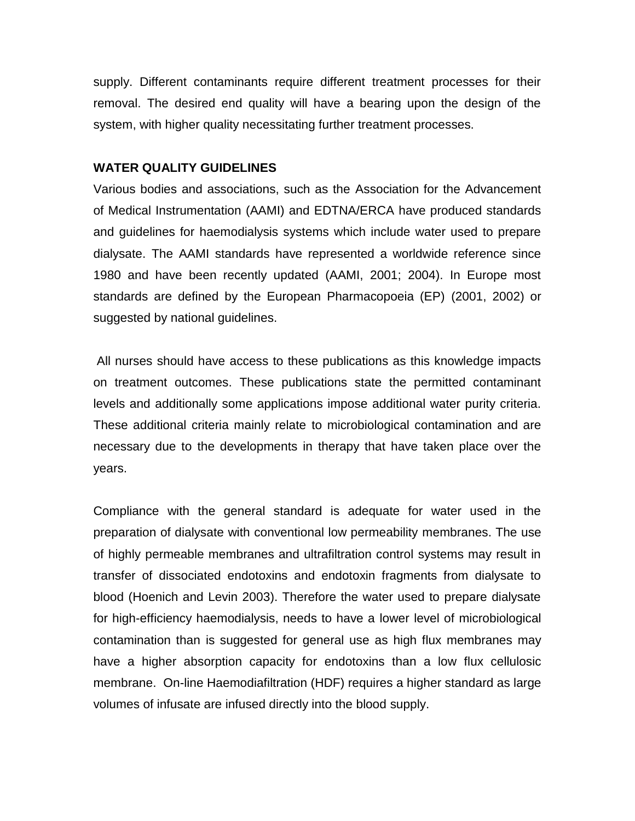supply. Different contaminants require different treatment processes for their removal. The desired end quality will have a bearing upon the design of the system, with higher quality necessitating further treatment processes.

#### **WATER QUALITY GUIDELINES**

Various bodies and associations, such as the Association for the Advancement of Medical Instrumentation (AAMI) and EDTNA/ERCA have produced standards and guidelines for haemodialysis systems which include water used to prepare dialysate. The AAMI standards have represented a worldwide reference since 1980 and have been recently updated (AAMI, 2001; 2004). In Europe most standards are defined by the European Pharmacopoeia (EP) (2001, 2002) or suggested by national guidelines.

All nurses should have access to these publications as this knowledge impacts on treatment outcomes. These publications state the permitted contaminant levels and additionally some applications impose additional water purity criteria. These additional criteria mainly relate to microbiological contamination and are necessary due to the developments in therapy that have taken place over the years.

Compliance with the general standard is adequate for water used in the preparation of dialysate with conventional low permeability membranes. The use of highly permeable membranes and ultrafiltration control systems may result in transfer of dissociated endotoxins and endotoxin fragments from dialysate to blood (Hoenich and Levin 2003). Therefore the water used to prepare dialysate for high-efficiency haemodialysis, needs to have a lower level of microbiological contamination than is suggested for general use as high flux membranes may have a higher absorption capacity for endotoxins than a low flux cellulosic membrane. On-line Haemodiafiltration (HDF) requires a higher standard as large volumes of infusate are infused directly into the blood supply.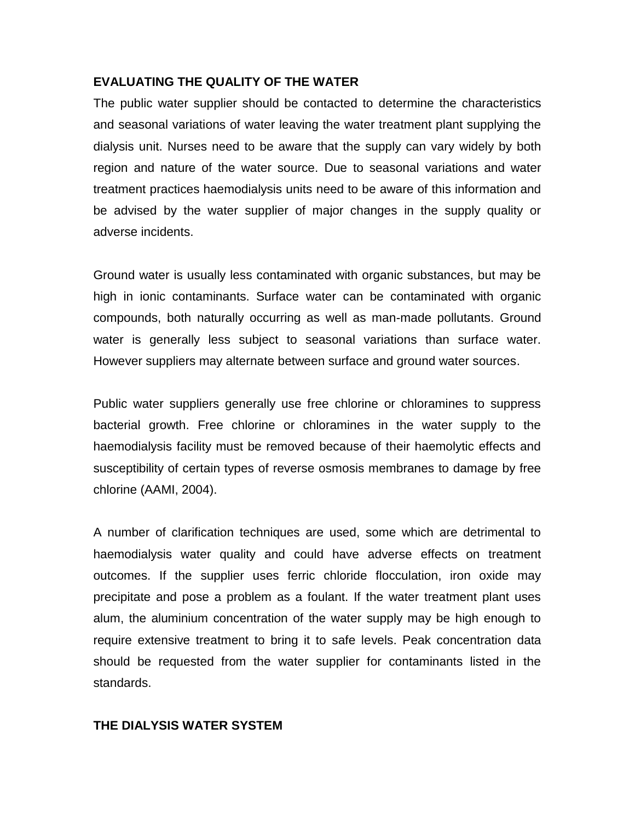#### **EVALUATING THE QUALITY OF THE WATER**

The public water supplier should be contacted to determine the characteristics and seasonal variations of water leaving the water treatment plant supplying the dialysis unit. Nurses need to be aware that the supply can vary widely by both region and nature of the water source. Due to seasonal variations and water treatment practices haemodialysis units need to be aware of this information and be advised by the water supplier of major changes in the supply quality or adverse incidents.

Ground water is usually less contaminated with organic substances, but may be high in ionic contaminants. Surface water can be contaminated with organic compounds, both naturally occurring as well as man-made pollutants. Ground water is generally less subject to seasonal variations than surface water. However suppliers may alternate between surface and ground water sources.

Public water suppliers generally use free chlorine or chloramines to suppress bacterial growth. Free chlorine or chloramines in the water supply to the haemodialysis facility must be removed because of their haemolytic effects and susceptibility of certain types of reverse osmosis membranes to damage by free chlorine (AAMI, 2004).

A number of clarification techniques are used, some which are detrimental to haemodialysis water quality and could have adverse effects on treatment outcomes. If the supplier uses ferric chloride flocculation, iron oxide may precipitate and pose a problem as a foulant. If the water treatment plant uses alum, the aluminium concentration of the water supply may be high enough to require extensive treatment to bring it to safe levels. Peak concentration data should be requested from the water supplier for contaminants listed in the standards.

#### **THE DIALYSIS WATER SYSTEM**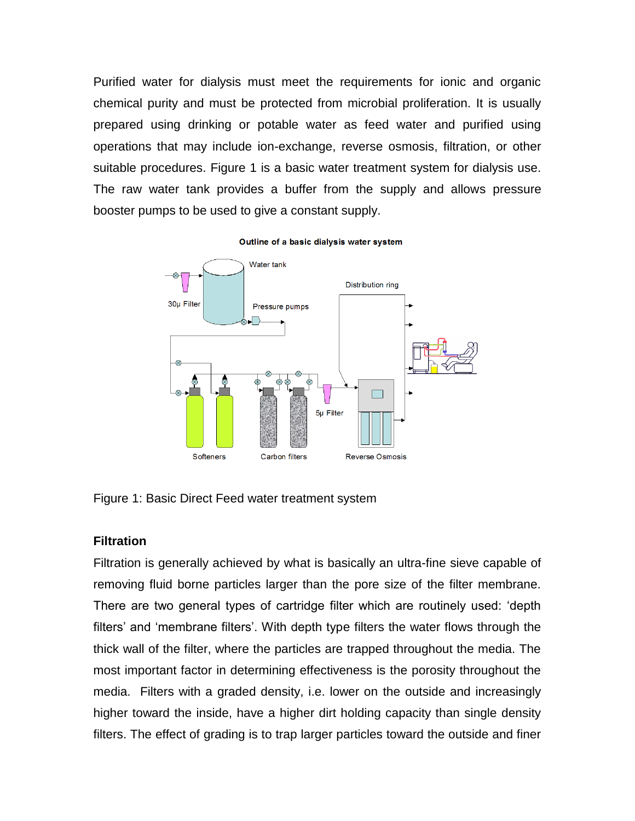Purified water for dialysis must meet the requirements for ionic and organic chemical purity and must be protected from microbial proliferation. It is usually prepared using drinking or potable water as feed water and purified using operations that may include ion-exchange, reverse osmosis, filtration, or other suitable procedures. Figure 1 is a basic water treatment system for dialysis use. The raw water tank provides a buffer from the supply and allows pressure booster pumps to be used to give a constant supply.

Outline of a basic dialysis water system



Figure 1: Basic Direct Feed water treatment system

#### **Filtration**

Filtration is generally achieved by what is basically an ultra-fine sieve capable of removing fluid borne particles larger than the pore size of the filter membrane. There are two general types of cartridge filter which are routinely used: 'depth filters' and 'membrane filters'. With depth type filters the water flows through the thick wall of the filter, where the particles are trapped throughout the media. The most important factor in determining effectiveness is the porosity throughout the media. Filters with a graded density, i.e. lower on the outside and increasingly higher toward the inside, have a higher dirt holding capacity than single density filters. The effect of grading is to trap larger particles toward the outside and finer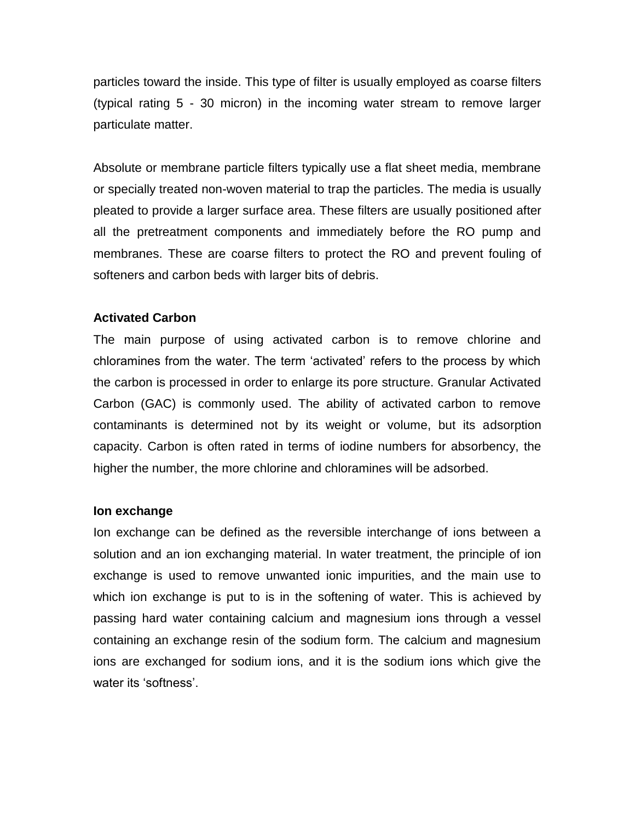particles toward the inside. This type of filter is usually employed as coarse filters (typical rating 5 - 30 micron) in the incoming water stream to remove larger particulate matter.

Absolute or membrane particle filters typically use a flat sheet media, membrane or specially treated non-woven material to trap the particles. The media is usually pleated to provide a larger surface area. These filters are usually positioned after all the pretreatment components and immediately before the RO pump and membranes. These are coarse filters to protect the RO and prevent fouling of softeners and carbon beds with larger bits of debris.

#### **Activated Carbon**

The main purpose of using activated carbon is to remove chlorine and chloramines from the water. The term 'activated' refers to the process by which the carbon is processed in order to enlarge its pore structure. Granular Activated Carbon (GAC) is commonly used. The ability of activated carbon to remove contaminants is determined not by its weight or volume, but its adsorption capacity. Carbon is often rated in terms of iodine numbers for absorbency, the higher the number, the more chlorine and chloramines will be adsorbed.

#### **Ion exchange**

Ion exchange can be defined as the reversible interchange of ions between a solution and an ion exchanging material. In water treatment, the principle of ion exchange is used to remove unwanted ionic impurities, and the main use to which ion exchange is put to is in the softening of water. This is achieved by passing hard water containing calcium and magnesium ions through a vessel containing an exchange resin of the sodium form. The calcium and magnesium ions are exchanged for sodium ions, and it is the sodium ions which give the water its 'softness'.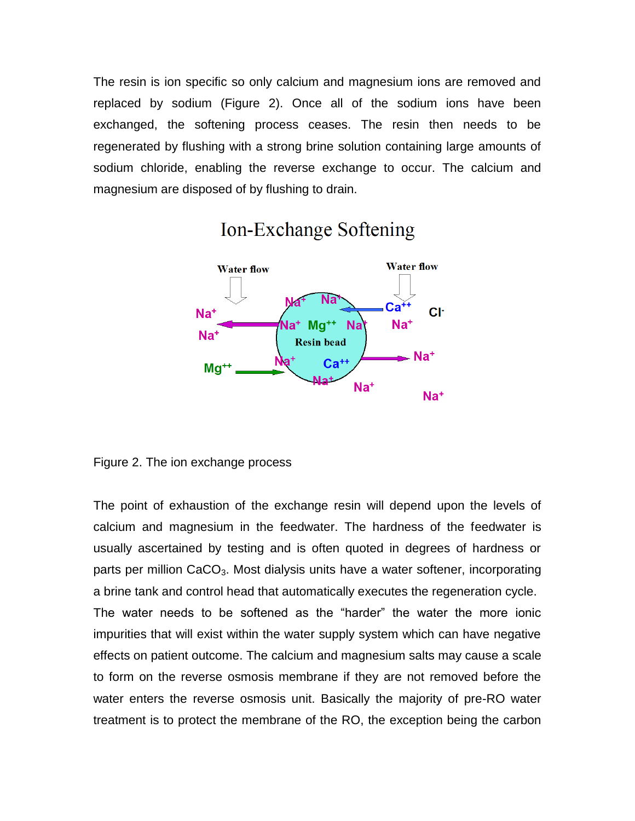The resin is ion specific so only calcium and magnesium ions are removed and replaced by sodium (Figure 2). Once all of the sodium ions have been exchanged, the softening process ceases. The resin then needs to be regenerated by flushing with a strong brine solution containing large amounts of sodium chloride, enabling the reverse exchange to occur. The calcium and magnesium are disposed of by flushing to drain.

### **Ion-Exchange Softening**



Figure 2. The ion exchange process

The point of exhaustion of the exchange resin will depend upon the levels of calcium and magnesium in the feedwater. The hardness of the feedwater is usually ascertained by testing and is often quoted in degrees of hardness or parts per million CaCO<sub>3</sub>. Most dialysis units have a water softener, incorporating a brine tank and control head that automatically executes the regeneration cycle. The water needs to be softened as the "harder" the water the more ionic impurities that will exist within the water supply system which can have negative effects on patient outcome. The calcium and magnesium salts may cause a scale to form on the reverse osmosis membrane if they are not removed before the water enters the reverse osmosis unit. Basically the majority of pre-RO water treatment is to protect the membrane of the RO, the exception being the carbon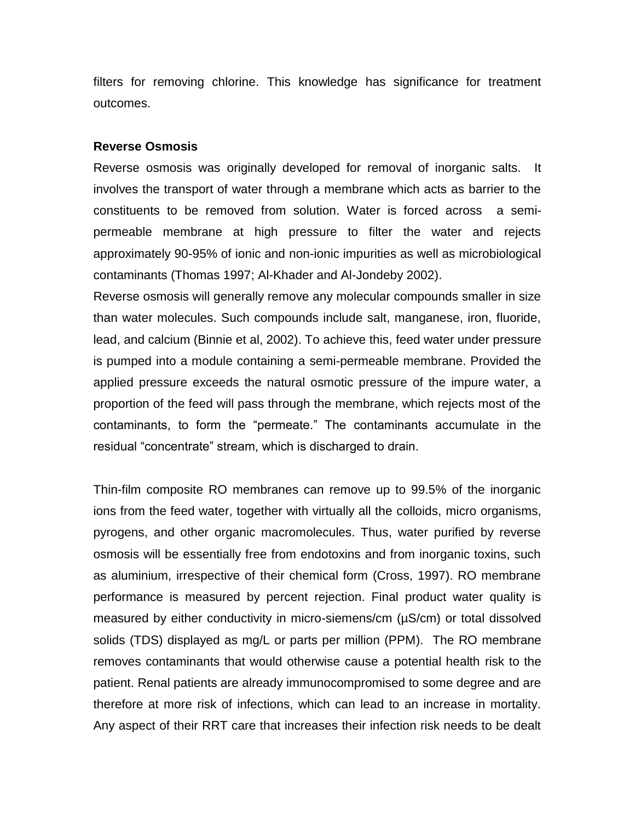filters for removing chlorine. This knowledge has significance for treatment outcomes.

#### **Reverse Osmosis**

Reverse osmosis was originally developed for removal of inorganic salts. It involves the transport of water through a membrane which acts as barrier to the constituents to be removed from solution. Water is forced across a semipermeable membrane at high pressure to filter the water and rejects approximately 90-95% of ionic and non-ionic impurities as well as microbiological contaminants (Thomas 1997; Al-Khader and Al-Jondeby 2002).

Reverse osmosis will generally remove any molecular compounds smaller in size than water molecules. Such compounds include salt, manganese, iron, fluoride, lead, and calcium (Binnie et al, 2002). To achieve this, feed water under pressure is pumped into a module containing a semi-permeable membrane. Provided the applied pressure exceeds the natural osmotic pressure of the impure water, a proportion of the feed will pass through the membrane, which rejects most of the contaminants, to form the "permeate." The contaminants accumulate in the residual "concentrate" stream, which is discharged to drain.

Thin-film composite RO membranes can remove up to 99.5% of the inorganic ions from the feed water, together with virtually all the colloids, micro organisms, pyrogens, and other organic macromolecules. Thus, water purified by reverse osmosis will be essentially free from endotoxins and from inorganic toxins, such as aluminium, irrespective of their chemical form (Cross, 1997). RO membrane performance is measured by percent rejection. Final product water quality is measured by either conductivity in micro-siemens/cm (µS/cm) or total dissolved solids (TDS) displayed as mg/L or parts per million (PPM). The RO membrane removes contaminants that would otherwise cause a potential health risk to the patient. Renal patients are already immunocompromised to some degree and are therefore at more risk of infections, which can lead to an increase in mortality. Any aspect of their RRT care that increases their infection risk needs to be dealt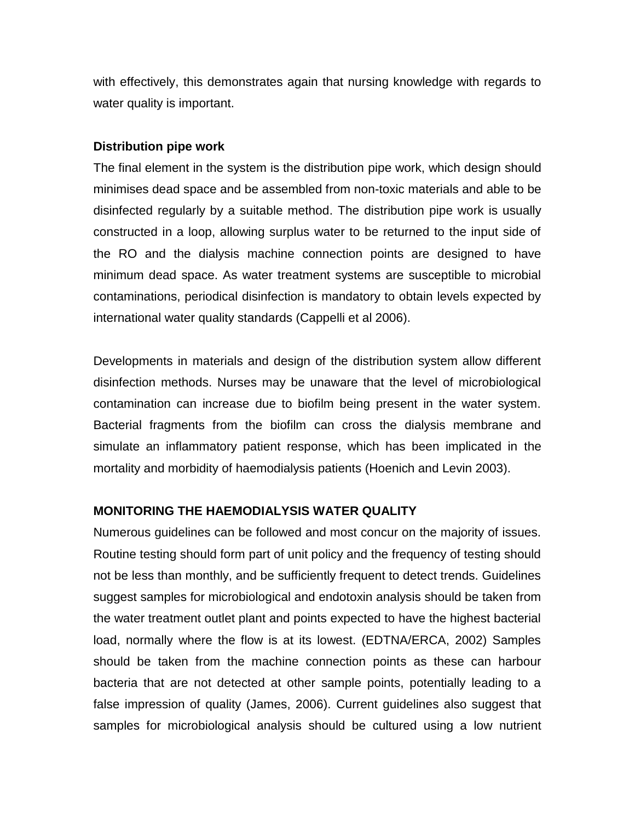with effectively, this demonstrates again that nursing knowledge with regards to water quality is important.

#### **Distribution pipe work**

The final element in the system is the distribution pipe work, which design should minimises dead space and be assembled from non-toxic materials and able to be disinfected regularly by a suitable method. The distribution pipe work is usually constructed in a loop, allowing surplus water to be returned to the input side of the RO and the dialysis machine connection points are designed to have minimum dead space. As water treatment systems are susceptible to microbial contaminations, periodical disinfection is mandatory to obtain levels expected by international water quality standards (Cappelli et al 2006).

Developments in materials and design of the distribution system allow different disinfection methods. Nurses may be unaware that the level of microbiological contamination can increase due to biofilm being present in the water system. Bacterial fragments from the biofilm can cross the dialysis membrane and simulate an inflammatory patient response, which has been implicated in the mortality and morbidity of haemodialysis patients (Hoenich and Levin 2003).

#### **MONITORING THE HAEMODIALYSIS WATER QUALITY**

Numerous guidelines can be followed and most concur on the majority of issues. Routine testing should form part of unit policy and the frequency of testing should not be less than monthly, and be sufficiently frequent to detect trends. Guidelines suggest samples for microbiological and endotoxin analysis should be taken from the water treatment outlet plant and points expected to have the highest bacterial load, normally where the flow is at its lowest. (EDTNA/ERCA, 2002) Samples should be taken from the machine connection points as these can harbour bacteria that are not detected at other sample points, potentially leading to a false impression of quality (James, 2006). Current guidelines also suggest that samples for microbiological analysis should be cultured using a low nutrient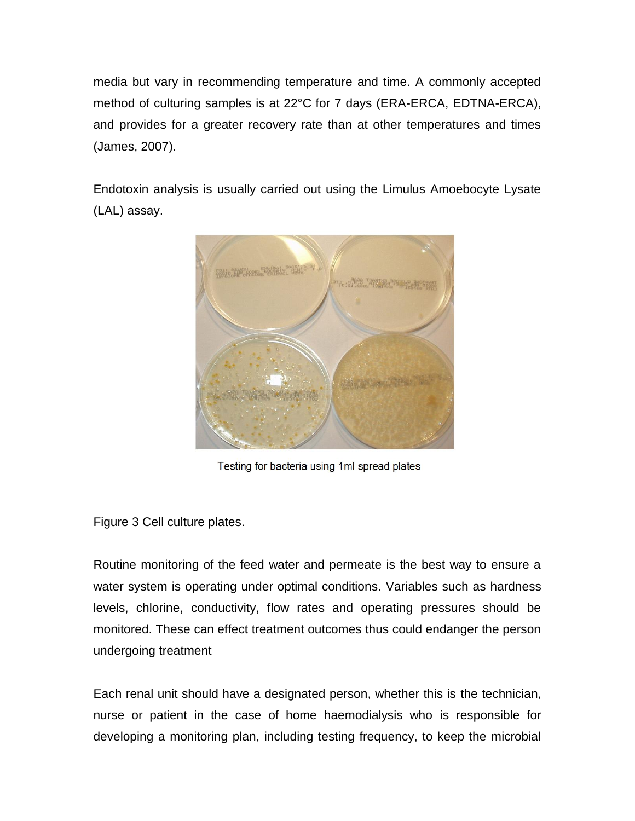media but vary in recommending temperature and time. A commonly accepted method of culturing samples is at 22°C for 7 days (ERA-ERCA, EDTNA-ERCA), and provides for a greater recovery rate than at other temperatures and times (James, 2007).

Endotoxin analysis is usually carried out using the Limulus Amoebocyte Lysate (LAL) assay.



Testing for bacteria using 1ml spread plates

Figure 3 Cell culture plates.

Routine monitoring of the feed water and permeate is the best way to ensure a water system is operating under optimal conditions. Variables such as hardness levels, chlorine, conductivity, flow rates and operating pressures should be monitored. These can effect treatment outcomes thus could endanger the person undergoing treatment

Each renal unit should have a designated person, whether this is the technician, nurse or patient in the case of home haemodialysis who is responsible for developing a monitoring plan, including testing frequency, to keep the microbial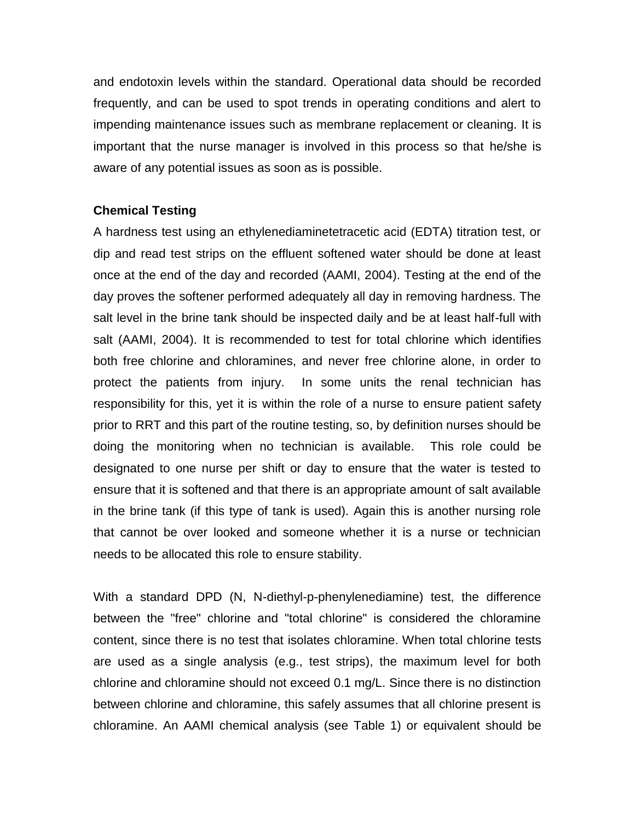and endotoxin levels within the standard. Operational data should be recorded frequently, and can be used to spot trends in operating conditions and alert to impending maintenance issues such as membrane replacement or cleaning. It is important that the nurse manager is involved in this process so that he/she is aware of any potential issues as soon as is possible.

#### **Chemical Testing**

A hardness test using an ethylenediaminetetracetic acid (EDTA) titration test, or dip and read test strips on the effluent softened water should be done at least once at the end of the day and recorded (AAMI, 2004). Testing at the end of the day proves the softener performed adequately all day in removing hardness. The salt level in the brine tank should be inspected daily and be at least half-full with salt (AAMI, 2004). It is recommended to test for total chlorine which identifies both free chlorine and chloramines, and never free chlorine alone, in order to protect the patients from injury. In some units the renal technician has responsibility for this, yet it is within the role of a nurse to ensure patient safety prior to RRT and this part of the routine testing, so, by definition nurses should be doing the monitoring when no technician is available. This role could be designated to one nurse per shift or day to ensure that the water is tested to ensure that it is softened and that there is an appropriate amount of salt available in the brine tank (if this type of tank is used). Again this is another nursing role that cannot be over looked and someone whether it is a nurse or technician needs to be allocated this role to ensure stability.

With a standard DPD (N, N-diethyl-p-phenylenediamine) test, the difference between the "free" chlorine and "total chlorine" is considered the chloramine content, since there is no test that isolates chloramine. When total chlorine tests are used as a single analysis (e.g., test strips), the maximum level for both chlorine and chloramine should not exceed 0.1 mg/L. Since there is no distinction between chlorine and chloramine, this safely assumes that all chlorine present is chloramine. An AAMI chemical analysis (see Table 1) or equivalent should be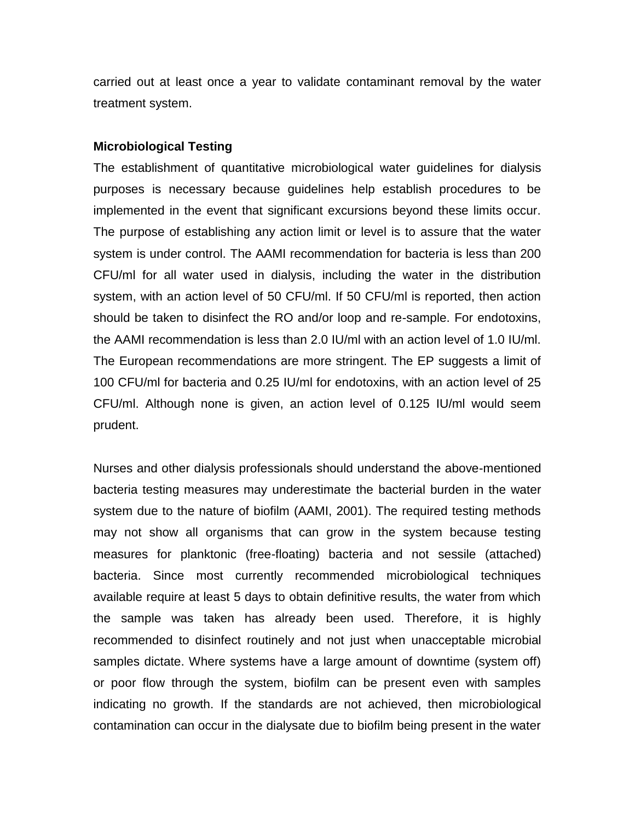carried out at least once a year to validate contaminant removal by the water treatment system.

#### **Microbiological Testing**

The establishment of quantitative microbiological water guidelines for dialysis purposes is necessary because guidelines help establish procedures to be implemented in the event that significant excursions beyond these limits occur. The purpose of establishing any action limit or level is to assure that the water system is under control. The AAMI recommendation for bacteria is less than 200 CFU/ml for all water used in dialysis, including the water in the distribution system, with an action level of 50 CFU/ml. If 50 CFU/ml is reported, then action should be taken to disinfect the RO and/or loop and re-sample. For endotoxins, the AAMI recommendation is less than 2.0 IU/ml with an action level of 1.0 IU/ml. The European recommendations are more stringent. The EP suggests a limit of 100 CFU/ml for bacteria and 0.25 IU/ml for endotoxins, with an action level of 25 CFU/ml. Although none is given, an action level of 0.125 IU/ml would seem prudent.

Nurses and other dialysis professionals should understand the above-mentioned bacteria testing measures may underestimate the bacterial burden in the water system due to the nature of biofilm (AAMI, 2001). The required testing methods may not show all organisms that can grow in the system because testing measures for planktonic (free-floating) bacteria and not sessile (attached) bacteria. Since most currently recommended microbiological techniques available require at least 5 days to obtain definitive results, the water from which the sample was taken has already been used. Therefore, it is highly recommended to disinfect routinely and not just when unacceptable microbial samples dictate. Where systems have a large amount of downtime (system off) or poor flow through the system, biofilm can be present even with samples indicating no growth. If the standards are not achieved, then microbiological contamination can occur in the dialysate due to biofilm being present in the water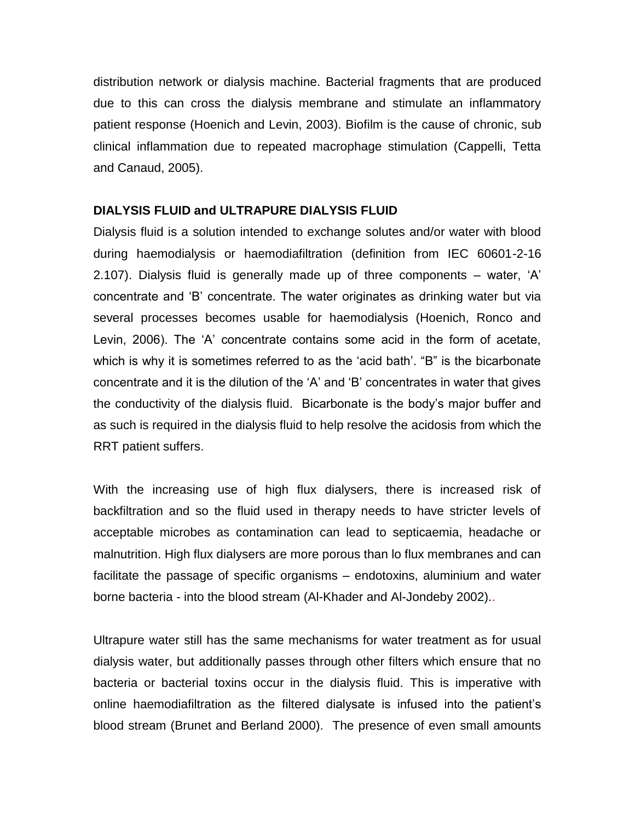distribution network or dialysis machine. Bacterial fragments that are produced due to this can cross the dialysis membrane and stimulate an inflammatory patient response (Hoenich and Levin, 2003). Biofilm is the cause of chronic, sub clinical inflammation due to repeated macrophage stimulation (Cappelli, Tetta and Canaud, 2005).

#### **DIALYSIS FLUID and ULTRAPURE DIALYSIS FLUID**

Dialysis fluid is a solution intended to exchange solutes and/or water with blood during haemodialysis or haemodiafiltration (definition from IEC 60601-2-16 2.107). Dialysis fluid is generally made up of three components – water, 'A' concentrate and 'B' concentrate. The water originates as drinking water but via several processes becomes usable for haemodialysis (Hoenich, Ronco and Levin, 2006). The 'A' concentrate contains some acid in the form of acetate, which is why it is sometimes referred to as the 'acid bath'. "B" is the bicarbonate concentrate and it is the dilution of the 'A' and 'B' concentrates in water that gives the conductivity of the dialysis fluid. Bicarbonate is the body's major buffer and as such is required in the dialysis fluid to help resolve the acidosis from which the RRT patient suffers.

With the increasing use of high flux dialysers, there is increased risk of backfiltration and so the fluid used in therapy needs to have stricter levels of acceptable microbes as contamination can lead to septicaemia, headache or malnutrition. High flux dialysers are more porous than lo flux membranes and can facilitate the passage of specific organisms – endotoxins, aluminium and water borne bacteria - into the blood stream (Al-Khader and Al-Jondeby 2002)..

Ultrapure water still has the same mechanisms for water treatment as for usual dialysis water, but additionally passes through other filters which ensure that no bacteria or bacterial toxins occur in the dialysis fluid. This is imperative with online haemodiafiltration as the filtered dialysate is infused into the patient's blood stream (Brunet and Berland 2000). The presence of even small amounts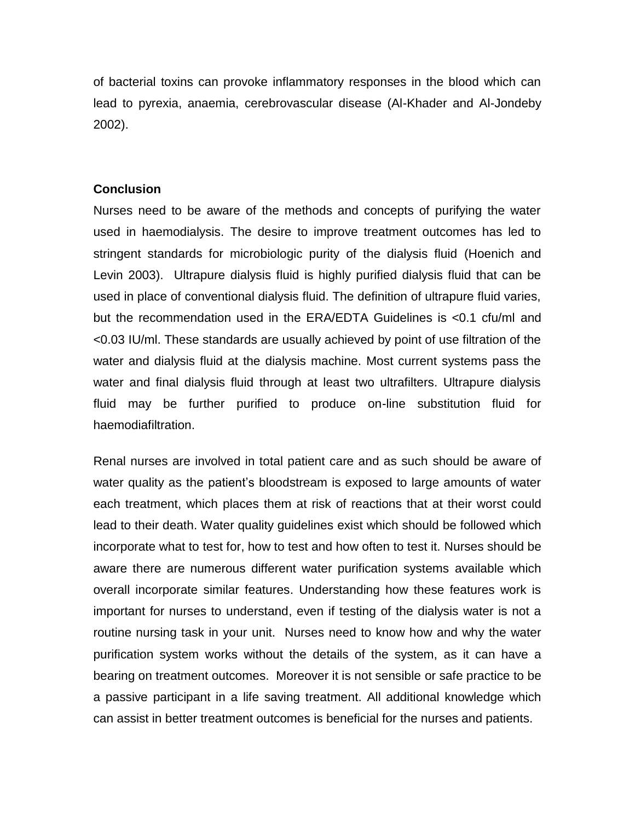of bacterial toxins can provoke inflammatory responses in the blood which can lead to pyrexia, anaemia, cerebrovascular disease (Al-Khader and Al-Jondeby 2002).

#### **Conclusion**

Nurses need to be aware of the methods and concepts of purifying the water used in haemodialysis. The desire to improve treatment outcomes has led to stringent standards for microbiologic purity of the dialysis fluid (Hoenich and Levin 2003). Ultrapure dialysis fluid is highly purified dialysis fluid that can be used in place of conventional dialysis fluid. The definition of ultrapure fluid varies, but the recommendation used in the ERA/EDTA Guidelines is <0.1 cfu/ml and <0.03 IU/ml. These standards are usually achieved by point of use filtration of the water and dialysis fluid at the dialysis machine. Most current systems pass the water and final dialysis fluid through at least two ultrafilters. Ultrapure dialysis fluid may be further purified to produce on-line substitution fluid for haemodiafiltration.

Renal nurses are involved in total patient care and as such should be aware of water quality as the patient's bloodstream is exposed to large amounts of water each treatment, which places them at risk of reactions that at their worst could lead to their death. Water quality guidelines exist which should be followed which incorporate what to test for, how to test and how often to test it. Nurses should be aware there are numerous different water purification systems available which overall incorporate similar features. Understanding how these features work is important for nurses to understand, even if testing of the dialysis water is not a routine nursing task in your unit. Nurses need to know how and why the water purification system works without the details of the system, as it can have a bearing on treatment outcomes. Moreover it is not sensible or safe practice to be a passive participant in a life saving treatment. All additional knowledge which can assist in better treatment outcomes is beneficial for the nurses and patients.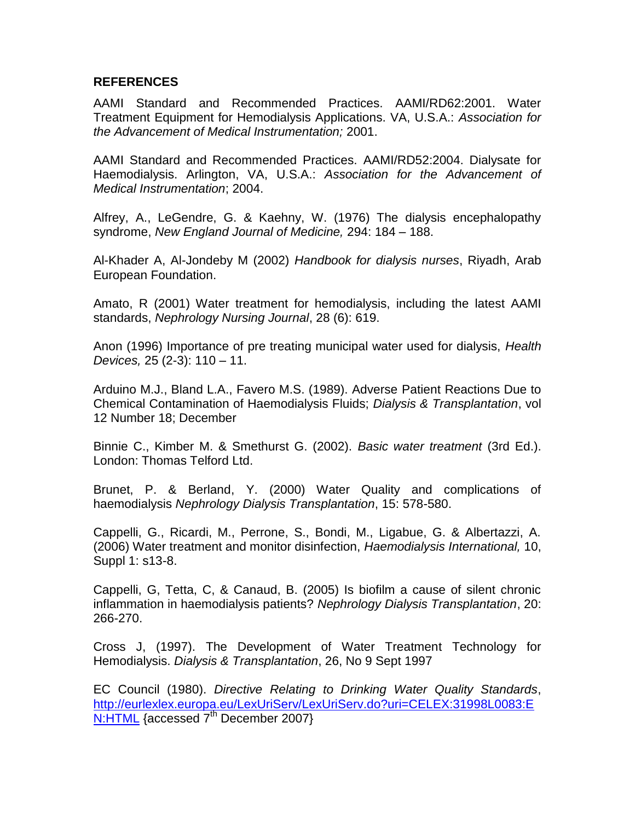#### **REFERENCES**

AAMI Standard and Recommended Practices. AAMI/RD62:2001. Water Treatment Equipment for Hemodialysis Applications. VA, U.S.A.: *Association for the Advancement of Medical Instrumentation;* 2001.

AAMI Standard and Recommended Practices. AAMI/RD52:2004. Dialysate for Haemodialysis. Arlington, VA, U.S.A.: *Association for the Advancement of Medical Instrumentation*; 2004.

Alfrey, A., LeGendre, G. & Kaehny, W. (1976) The dialysis encephalopathy syndrome, *New England Journal of Medicine,* 294: 184 – 188.

Al-Khader A, Al-Jondeby M (2002) *Handbook for dialysis nurses*, Riyadh, Arab European Foundation.

Amato, R (2001) Water treatment for hemodialysis, including the latest AAMI standards, *Nephrology Nursing Journal*, 28 (6): 619.

Anon (1996) Importance of pre treating municipal water used for dialysis, *Health Devices,* 25 (2-3): 110 – 11.

Arduino M.J., Bland L.A., Favero M.S. (1989). Adverse Patient Reactions Due to Chemical Contamination of Haemodialysis Fluids; *Dialysis & Transplantation*, vol 12 Number 18; December

Binnie C., Kimber M. & Smethurst G. (2002). *Basic water treatment* (3rd Ed.). London: Thomas Telford Ltd.

Brunet, P. & Berland, Y. (2000) Water Quality and complications of haemodialysis *Nephrology Dialysis Transplantation*, 15: 578-580.

Cappelli, G., Ricardi, M., Perrone, S., Bondi, M., Ligabue, G. & Albertazzi, A. (2006) Water treatment and monitor disinfection, *Haemodialysis International,* 10, Suppl 1: s13-8.

Cappelli, G, Tetta, C, & Canaud, B. (2005) Is biofilm a cause of silent chronic inflammation in haemodialysis patients? *Nephrology Dialysis Transplantation*, 20: 266-270.

Cross J, (1997). The Development of Water Treatment Technology for Hemodialysis. *Dialysis & Transplantation*, 26, No 9 Sept 1997

EC Council (1980). *Directive Relating to Drinking Water Quality Standards*, [http://eurlexlex.europa.eu/LexUriServ/LexUriServ.do?uri=CELEX:31998L0083:E](http://eurlexlex.europa.eu/LexUriServ/LexUriServ.do?uri=CELEX:31998L0083:EN:HTML) [N:HTML](http://eurlexlex.europa.eu/LexUriServ/LexUriServ.do?uri=CELEX:31998L0083:EN:HTML) {accessed  $7<sup>th</sup>$  December 2007}